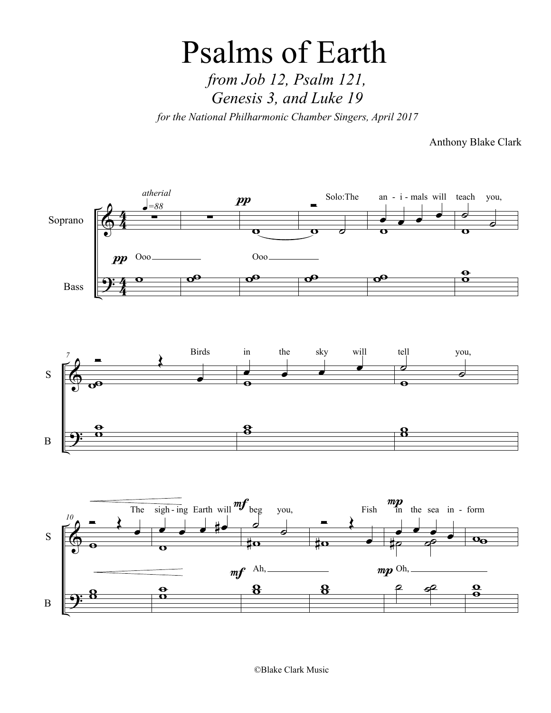## Psalms of Earth *from Job 12, Psalm 121, Genesis 3, and Luke 19*

*for the National Philharmonic Chamber Singers, April 2017*

Anthony Blake Clark



©Blake Clark Music